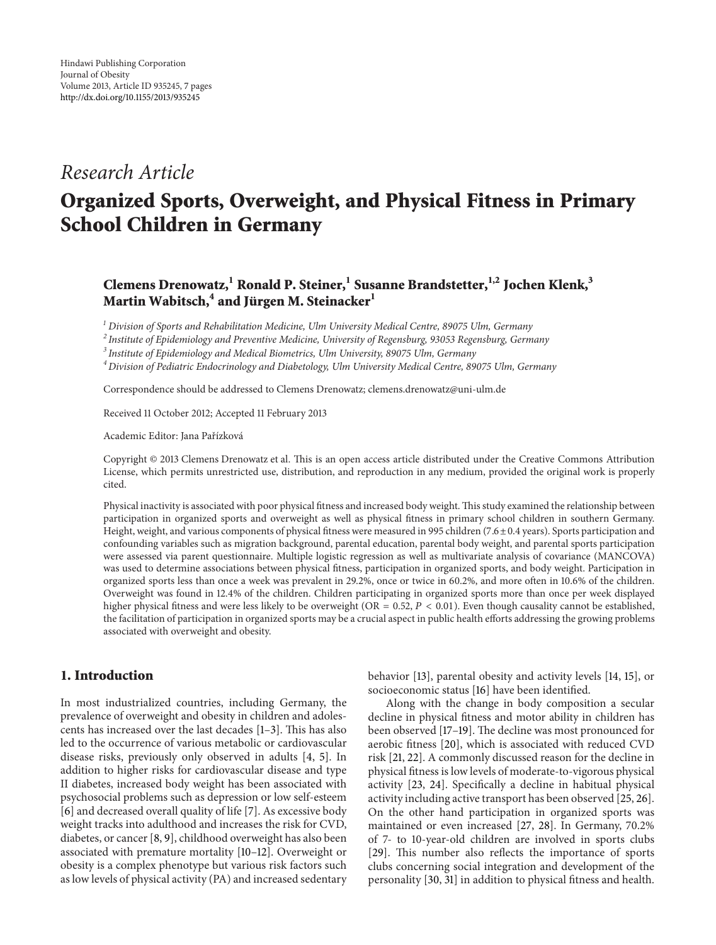## *Research Article*

# **Organized Sports, Overweight, and Physical Fitness in Primary School Children in Germany**

### **Clemens Drenowatz,1 Ronald P. Steiner,<sup>1</sup> Susanne Brandstetter,1,2 Jochen Klenk,<sup>3</sup> Martin Wabitsch,<sup>4</sup> and Jürgen M. Steinacker<sup>1</sup>**

*<sup>1</sup> Division of Sports and Rehabilitation Medicine, Ulm University Medical Centre, 89075 Ulm, Germany*

*<sup>2</sup> Institute of Epidemiology and Preventive Medicine, University of Regensburg, 93053 Regensburg, Germany*

*<sup>3</sup> Institute of Epidemiology and Medical Biometrics, Ulm University, 89075 Ulm, Germany*

*<sup>4</sup> Division of Pediatric Endocrinology and Diabetology, Ulm University Medical Centre, 89075 Ulm, Germany*

Correspondence should be addressed to Clemens Drenowatz; clemens.drenowatz@uni-ulm.de

Received 11 October 2012; Accepted 11 February 2013

Academic Editor: Jana Pařízková

Copyright © 2013 Clemens Drenowatz et al. This is an open access article distributed under the Creative Commons Attribution License, which permits unrestricted use, distribution, and reproduction in any medium, provided the original work is properly cited.

Physical inactivity is associated with poor physical fitness and increased body weight. This study examined the relationship between participation in organized sports and overweight as well as physical fitness in primary school children in southern Germany. Height, weight, and various components of physical fitness were measured in 995 children (7.6±0.4 years). Sports participation and confounding variables such as migration background, parental education, parental body weight, and parental sports participation were assessed via parent questionnaire. Multiple logistic regression as well as multivariate analysis of covariance (MANCOVA) was used to determine associations between physical fitness, participation in organized sports, and body weight. Participation in organized sports less than once a week was prevalent in 29.2%, once or twice in 60.2%, and more often in 10.6% of the children. Overweight was found in 12.4% of the children. Children participating in organized sports more than once per week displayed higher physical fitness and were less likely to be overweight (OR = 0.52,  $P < 0.01$ ). Even though causality cannot be established, the facilitation of participation in organized sports may be a crucial aspect in public health efforts addressing the growing problems associated with overweight and obesity.

#### **1. Introduction**

In most industrialized countries, including Germany, the prevalence of overweight and obesity in children and adolescents has increased over the last decades [1–3]. This has also led to the occurrence of various metabolic or cardiovascular disease risks, previously only observed in adults [4, 5]. In addition to higher risks for cardiovascular disease and type II diabetes, increased body weight has been associated with psychosocial problems such as depression or low self-esteem [6] and decreased overall quality of life [7]. As excessive body weight tracks into adulthood and increases the risk for CVD, diabetes, or cancer [8, 9], childhood overweight has also been associated with premature mortality [10–12]. Overweight or obesity is a complex phenotype but various risk factors such as low levels of physical activity (PA) and increased sedentary behavior [13], parental obesity and activity levels [14, 15], or socioeconomic status [16] have been identified.

Along with the change in body composition a secular decline in physical fitness and motor ability in children has been observed [17–19]. The decline was most pronounced for aerobic fitness [20], which is associated with reduced CVD risk [21, 22]. A commonly discussed reason for the decline in physical fitness is low levels of moderate-to-vigorous physical activity [23, 24]. Specifically a decline in habitual physical activity including active transport has been observed [25, 26]. On the other hand participation in organized sports was maintained or even increased [27, 28]. In Germany, 70.2% of 7- to 10-year-old children are involved in sports clubs [29]. This number also reflects the importance of sports clubs concerning social integration and development of the personality [30, 31] in addition to physical fitness and health.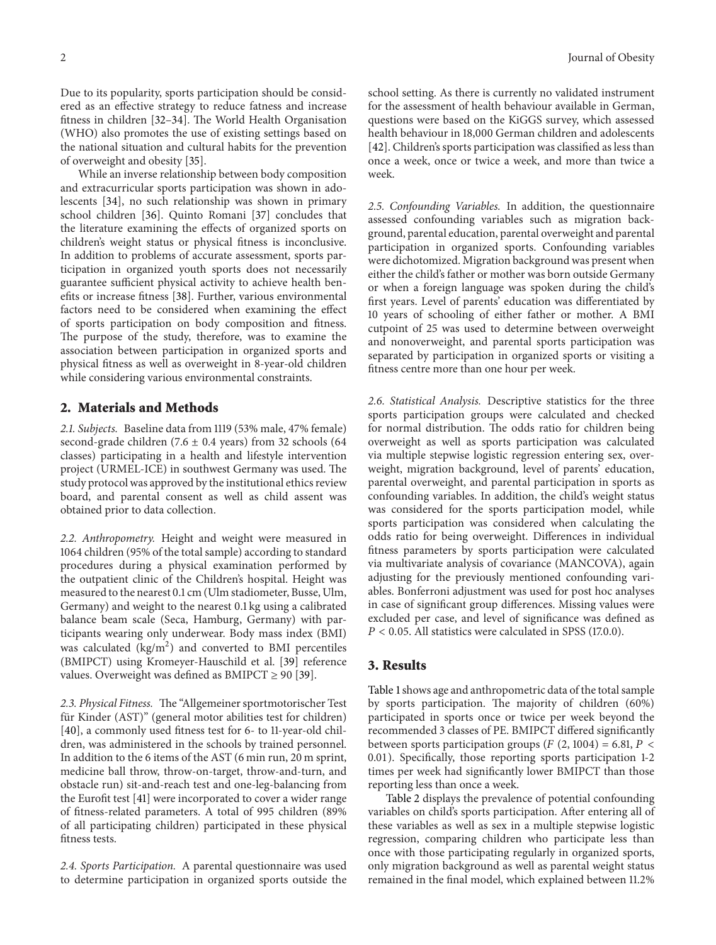Due to its popularity, sports participation should be considered as an effective strategy to reduce fatness and increase fitness in children [32–34]. The World Health Organisation (WHO) also promotes the use of existing settings based on the national situation and cultural habits for the prevention of overweight and obesity [35].

While an inverse relationship between body composition and extracurricular sports participation was shown in adolescents [34], no such relationship was shown in primary school children [36]. Quinto Romani [37] concludes that the literature examining the effects of organized sports on children's weight status or physical fitness is inconclusive. In addition to problems of accurate assessment, sports participation in organized youth sports does not necessarily guarantee sufficient physical activity to achieve health benefits or increase fitness [38]. Further, various environmental factors need to be considered when examining the effect of sports participation on body composition and fitness. The purpose of the study, therefore, was to examine the association between participation in organized sports and physical fitness as well as overweight in 8-year-old children while considering various environmental constraints.

#### **2. Materials and Methods**

*2.1. Subjects.* Baseline data from 1119 (53% male, 47% female) second-grade children (7.6  $\pm$  0.4 years) from 32 schools (64 classes) participating in a health and lifestyle intervention project (URMEL-ICE) in southwest Germany was used. The study protocol was approved by the institutional ethics review board, and parental consent as well as child assent was obtained prior to data collection.

*2.2. Anthropometry.* Height and weight were measured in 1064 children (95% of the total sample) according to standard procedures during a physical examination performed by the outpatient clinic of the Children's hospital. Height was measured to the nearest 0.1 cm (Ulm stadiometer, Busse, Ulm, Germany) and weight to the nearest 0.1 kg using a calibrated balance beam scale (Seca, Hamburg, Germany) with participants wearing only underwear. Body mass index (BMI) was calculated (kg/m<sup>2</sup>) and converted to BMI percentiles (BMIPCT) using Kromeyer-Hauschild et al. [39] reference values. Overweight was defined as  $BMIPCT \geq 90$  [39].

*2.3. Physical Fitness.* The "Allgemeiner sportmotorischer Test für Kinder (AST)" (general motor abilities test for children) [40], a commonly used fitness test for 6- to 11-year-old children, was administered in the schools by trained personnel. In addition to the 6 items of the AST (6 min run, 20 m sprint, medicine ball throw, throw-on-target, throw-and-turn, and obstacle run) sit-and-reach test and one-leg-balancing from the Eurofit test [41] were incorporated to cover a wider range of fitness-related parameters. A total of 995 children (89% of all participating children) participated in these physical fitness tests.

*2.4. Sports Participation.* A parental questionnaire was used to determine participation in organized sports outside the school setting. As there is currently no validated instrument for the assessment of health behaviour available in German, questions were based on the KiGGS survey, which assessed health behaviour in 18,000 German children and adolescents [42]. Children's sports participation was classified as less than once a week, once or twice a week, and more than twice a week.

*2.5. Confounding Variables.* In addition, the questionnaire assessed confounding variables such as migration background, parental education, parental overweight and parental participation in organized sports. Confounding variables were dichotomized. Migration background was present when either the child's father or mother was born outside Germany or when a foreign language was spoken during the child's first years. Level of parents' education was differentiated by 10 years of schooling of either father or mother. A BMI cutpoint of 25 was used to determine between overweight and nonoverweight, and parental sports participation was separated by participation in organized sports or visiting a fitness centre more than one hour per week.

*2.6. Statistical Analysis.* Descriptive statistics for the three sports participation groups were calculated and checked for normal distribution. The odds ratio for children being overweight as well as sports participation was calculated via multiple stepwise logistic regression entering sex, overweight, migration background, level of parents' education, parental overweight, and parental participation in sports as confounding variables. In addition, the child's weight status was considered for the sports participation model, while sports participation was considered when calculating the odds ratio for being overweight. Differences in individual fitness parameters by sports participation were calculated via multivariate analysis of covariance (MANCOVA), again adjusting for the previously mentioned confounding variables. Bonferroni adjustment was used for post hoc analyses in case of significant group differences. Missing values were excluded per case, and level of significance was defined as  $P < 0.05$ . All statistics were calculated in SPSS (17.0.0).

#### **3. Results**

Table 1shows age and anthropometric data of the total sample by sports participation. The majority of children (60%) participated in sports once or twice per week beyond the recommended 3 classes of PE. BMIPCT differed significantly between sports participation groups ( $F(2, 1004) = 6.81, P <$ 0.01). Specifically, those reporting sports participation 1-2 times per week had significantly lower BMIPCT than those reporting less than once a week.

Table 2 displays the prevalence of potential confounding variables on child's sports participation. After entering all of these variables as well as sex in a multiple stepwise logistic regression, comparing children who participate less than once with those participating regularly in organized sports, only migration background as well as parental weight status remained in the final model, which explained between 11.2%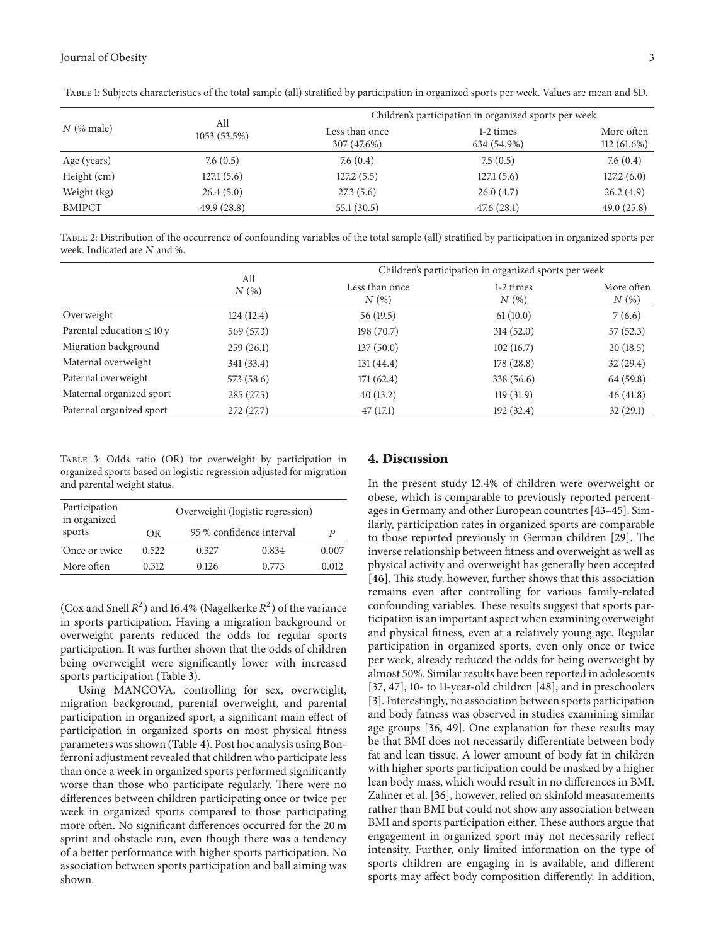| $N$ (% male)  | All<br>1053 (53.5%) | Children's participation in organized sports per week |                          |                             |  |
|---------------|---------------------|-------------------------------------------------------|--------------------------|-----------------------------|--|
|               |                     | Less than once<br>307 (47.6%)                         | 1-2 times<br>634 (54.9%) | More often<br>$112(61.6\%)$ |  |
| Age (years)   | 7.6(0.5)            | 7.6(0.4)                                              | 7.5(0.5)                 | 7.6(0.4)                    |  |
| Height (cm)   | 127.1(5.6)          | 127.2(5.5)                                            | 127.1(5.6)               | 127.2(6.0)                  |  |
| Weight (kg)   | 26.4(5.0)           | 27.3(5.6)                                             | 26.0(4.7)                | 26.2(4.9)                   |  |
| <b>BMIPCT</b> | 49.9(28.8)          | 55.1(30.5)                                            | 47.6(28.1)               | 49.0(25.8)                  |  |

Table 1: Subjects characteristics of the total sample (all) stratified by participation in organized sports per week. Values are mean and SD.

Table 2: Distribution of the occurrence of confounding variables of the total sample (all) stratified by participation in organized sports per week. Indicated are  $N$  and %.

|                                | All<br>N(%) | Children's participation in organized sports per week |                   |                    |
|--------------------------------|-------------|-------------------------------------------------------|-------------------|--------------------|
|                                |             | Less than once<br>N(%)                                | 1-2 times<br>N(%) | More often<br>N(%) |
| Overweight                     | 124(12.4)   | 56(19.5)                                              | 61(10.0)          | 7(6.6)             |
| Parental education $\leq 10 y$ | 569 (57.3)  | 198(70.7)                                             | 314(52.0)         | 57(52.3)           |
| Migration background           | 259(26.1)   | 137(50.0)                                             | 102(16.7)         | 20(18.5)           |
| Maternal overweight            | 341(33.4)   | 131(44.4)                                             | 178(28.8)         | 32(29.4)           |
| Paternal overweight            | 573(58.6)   | 171(62.4)                                             | 338 (56.6)        | 64 (59.8)          |
| Maternal organized sport       | 285(27.5)   | 40(13.2)                                              | 119(31.9)         | 46(41.8)           |
| Paternal organized sport       | 272(27.7)   | 47(17.1)                                              | 192(32.4)         | 32(29.1)           |

Table 3: Odds ratio (OR) for overweight by participation in organized sports based on logistic regression adjusted for migration and parental weight status.

| Participation<br>in organized | Overweight (logistic regression) |                          |       |       |
|-------------------------------|----------------------------------|--------------------------|-------|-------|
| sports                        | OR                               | 95 % confidence interval |       |       |
| Once or twice                 | 0.522                            | 0.327                    | 0.834 | 0.007 |
| More often                    | 0.312                            | 0.126                    | 0.773 | 0.012 |

(Cox and Snell  $R^2$ ) and 16.4% (Nagelkerke  $R^2$ ) of the variance in sports participation. Having a migration background or overweight parents reduced the odds for regular sports participation. It was further shown that the odds of children being overweight were significantly lower with increased sports participation (Table 3).

Using MANCOVA, controlling for sex, overweight, migration background, parental overweight, and parental participation in organized sport, a significant main effect of participation in organized sports on most physical fitness parameters was shown (Table 4). Post hoc analysis using Bonferroni adjustment revealed that children who participate less than once a week in organized sports performed significantly worse than those who participate regularly. There were no differences between children participating once or twice per week in organized sports compared to those participating more often. No significant differences occurred for the 20 m sprint and obstacle run, even though there was a tendency of a better performance with higher sports participation. No association between sports participation and ball aiming was shown.

#### **4. Discussion**

In the present study 12.4% of children were overweight or obese, which is comparable to previously reported percentages in Germany and other European countries [43–45]. Similarly, participation rates in organized sports are comparable to those reported previously in German children [29]. The inverse relationship between fitness and overweight as well as physical activity and overweight has generally been accepted [46]. This study, however, further shows that this association remains even after controlling for various family-related confounding variables. These results suggest that sports participation is an important aspect when examining overweight and physical fitness, even at a relatively young age. Regular participation in organized sports, even only once or twice per week, already reduced the odds for being overweight by almost 50%. Similar results have been reported in adolescents [37, 47], 10- to 11-year-old children [48], and in preschoolers [3]. Interestingly, no association between sports participation and body fatness was observed in studies examining similar age groups [36, 49]. One explanation for these results may be that BMI does not necessarily differentiate between body fat and lean tissue. A lower amount of body fat in children with higher sports participation could be masked by a higher lean body mass, which would result in no differences in BMI. Zahner et al. [36], however, relied on skinfold measurements rather than BMI but could not show any association between BMI and sports participation either. These authors argue that engagement in organized sport may not necessarily reflect intensity. Further, only limited information on the type of sports children are engaging in is available, and different sports may affect body composition differently. In addition,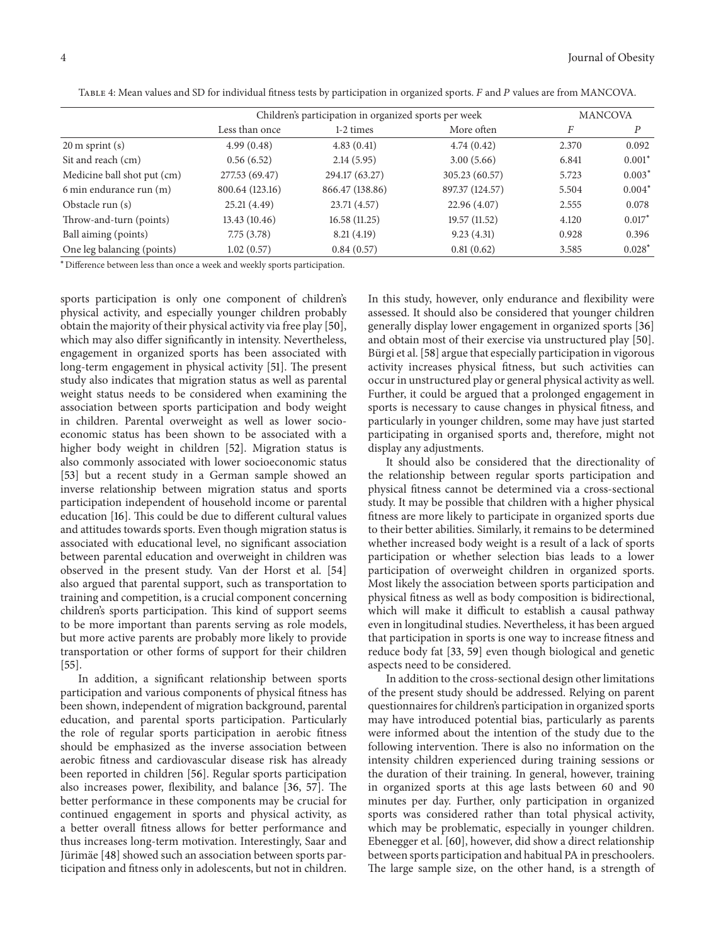|                             | Children's participation in organized sports per week |                 |                 | <b>MANCOVA</b> |          |
|-----------------------------|-------------------------------------------------------|-----------------|-----------------|----------------|----------|
|                             | Less than once                                        | 1-2 times       | More often      | F              | Р        |
| $20 \text{ m}$ sprint $(s)$ | 4.99(0.48)                                            | 4.83(0.41)      | 4.74(0.42)      | 2.370          | 0.092    |
| Sit and reach (cm)          | 0.56(6.52)                                            | 2.14(5.95)      | 3.00(5.66)      | 6.841          | $0.001*$ |
| Medicine ball shot put (cm) | 277.53 (69.47)                                        | 294.17 (63.27)  | 305.23 (60.57)  | 5.723          | $0.003*$ |
| 6 min endurance run (m)     | 800.64 (123.16)                                       | 866.47 (138.86) | 897.37 (124.57) | 5.504          | $0.004*$ |
| Obstacle run (s)            | 25.21(4.49)                                           | 23.71 (4.57)    | 22.96 (4.07)    | 2.555          | 0.078    |
| Throw-and-turn (points)     | 13.43(10.46)                                          | 16.58(11.25)    | 19.57 (11.52)   | 4.120          | $0.017*$ |
| Ball aiming (points)        | 7.75(3.78)                                            | 8.21(4.19)      | 9.23(4.31)      | 0.928          | 0.396    |
| One leg balancing (points)  | 1.02(0.57)                                            | 0.84(0.57)      | 0.81(0.62)      | 3.585          | $0.028*$ |

TABLE 4: Mean values and SD for individual fitness tests by participation in organized sports. F and P values are from MANCOVA.

<sup>∗</sup>Difference between less than once a week and weekly sports participation.

sports participation is only one component of children's physical activity, and especially younger children probably obtain the majority of their physical activity via free play [50], which may also differ significantly in intensity. Nevertheless, engagement in organized sports has been associated with long-term engagement in physical activity [51]. The present study also indicates that migration status as well as parental weight status needs to be considered when examining the association between sports participation and body weight in children. Parental overweight as well as lower socioeconomic status has been shown to be associated with a higher body weight in children [52]. Migration status is also commonly associated with lower socioeconomic status [53] but a recent study in a German sample showed an inverse relationship between migration status and sports participation independent of household income or parental education [16]. This could be due to different cultural values and attitudes towards sports. Even though migration status is associated with educational level, no significant association between parental education and overweight in children was observed in the present study. Van der Horst et al. [54] also argued that parental support, such as transportation to training and competition, is a crucial component concerning children's sports participation. This kind of support seems to be more important than parents serving as role models, but more active parents are probably more likely to provide transportation or other forms of support for their children [55].

In addition, a significant relationship between sports participation and various components of physical fitness has been shown, independent of migration background, parental education, and parental sports participation. Particularly the role of regular sports participation in aerobic fitness should be emphasized as the inverse association between aerobic fitness and cardiovascular disease risk has already been reported in children [56]. Regular sports participation also increases power, flexibility, and balance [36, 57]. The better performance in these components may be crucial for continued engagement in sports and physical activity, as a better overall fitness allows for better performance and thus increases long-term motivation. Interestingly, Saar and Jürimäe [48] showed such an association between sports participation and fitness only in adolescents, but not in children.

In this study, however, only endurance and flexibility were assessed. It should also be considered that younger children generally display lower engagement in organized sports [36] and obtain most of their exercise via unstructured play [50]. Bürgi et al. [58] argue that especially participation in vigorous activity increases physical fitness, but such activities can occur in unstructured play or general physical activity as well. Further, it could be argued that a prolonged engagement in sports is necessary to cause changes in physical fitness, and particularly in younger children, some may have just started participating in organised sports and, therefore, might not display any adjustments.

It should also be considered that the directionality of the relationship between regular sports participation and physical fitness cannot be determined via a cross-sectional study. It may be possible that children with a higher physical fitness are more likely to participate in organized sports due to their better abilities. Similarly, it remains to be determined whether increased body weight is a result of a lack of sports participation or whether selection bias leads to a lower participation of overweight children in organized sports. Most likely the association between sports participation and physical fitness as well as body composition is bidirectional, which will make it difficult to establish a causal pathway even in longitudinal studies. Nevertheless, it has been argued that participation in sports is one way to increase fitness and reduce body fat [33, 59] even though biological and genetic aspects need to be considered.

In addition to the cross-sectional design other limitations of the present study should be addressed. Relying on parent questionnaires for children's participation in organized sports may have introduced potential bias, particularly as parents were informed about the intention of the study due to the following intervention. There is also no information on the intensity children experienced during training sessions or the duration of their training. In general, however, training in organized sports at this age lasts between 60 and 90 minutes per day. Further, only participation in organized sports was considered rather than total physical activity, which may be problematic, especially in younger children. Ebenegger et al. [60], however, did show a direct relationship between sports participation and habitual PA in preschoolers. The large sample size, on the other hand, is a strength of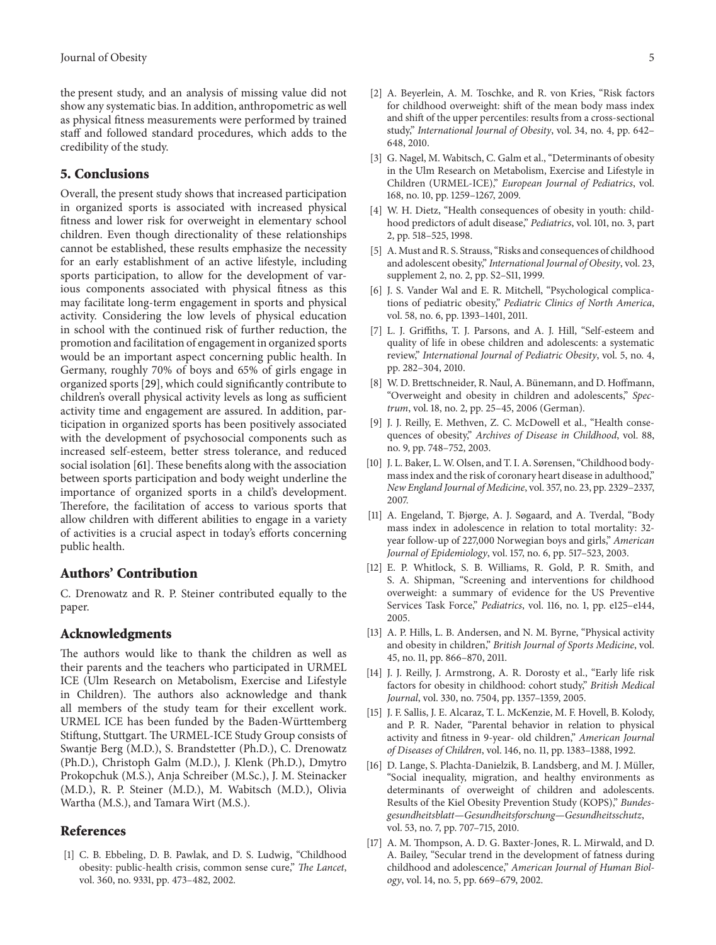the present study, and an analysis of missing value did not show any systematic bias. In addition, anthropometric as well as physical fitness measurements were performed by trained staff and followed standard procedures, which adds to the credibility of the study.

#### **5. Conclusions**

Overall, the present study shows that increased participation in organized sports is associated with increased physical fitness and lower risk for overweight in elementary school children. Even though directionality of these relationships cannot be established, these results emphasize the necessity for an early establishment of an active lifestyle, including sports participation, to allow for the development of various components associated with physical fitness as this may facilitate long-term engagement in sports and physical activity. Considering the low levels of physical education in school with the continued risk of further reduction, the promotion and facilitation of engagement in organized sports would be an important aspect concerning public health. In Germany, roughly 70% of boys and 65% of girls engage in organized sports [29], which could significantly contribute to children's overall physical activity levels as long as sufficient activity time and engagement are assured. In addition, participation in organized sports has been positively associated with the development of psychosocial components such as increased self-esteem, better stress tolerance, and reduced social isolation [61]. These benefits along with the association between sports participation and body weight underline the importance of organized sports in a child's development. Therefore, the facilitation of access to various sports that allow children with different abilities to engage in a variety of activities is a crucial aspect in today's efforts concerning public health.

#### **Authors' Contribution**

C. Drenowatz and R. P. Steiner contributed equally to the paper.

#### **Acknowledgments**

The authors would like to thank the children as well as their parents and the teachers who participated in URMEL ICE (Ulm Research on Metabolism, Exercise and Lifestyle in Children). The authors also acknowledge and thank all members of the study team for their excellent work. URMEL ICE has been funded by the Baden-Württemberg Stiftung, Stuttgart. The URMEL-ICE Study Group consists of Swantje Berg (M.D.), S. Brandstetter (Ph.D.), C. Drenowatz (Ph.D.), Christoph Galm (M.D.), J. Klenk (Ph.D.), Dmytro Prokopchuk (M.S.), Anja Schreiber (M.Sc.), J. M. Steinacker (M.D.), R. P. Steiner (M.D.), M. Wabitsch (M.D.), Olivia Wartha (M.S.), and Tamara Wirt (M.S.).

#### **References**

[1] C. B. Ebbeling, D. B. Pawlak, and D. S. Ludwig, "Childhood obesity: public-health crisis, common sense cure," *The Lancet*, vol. 360, no. 9331, pp. 473–482, 2002.

- [2] A. Beyerlein, A. M. Toschke, and R. von Kries, "Risk factors for childhood overweight: shift of the mean body mass index and shift of the upper percentiles: results from a cross-sectional study," *International Journal of Obesity*, vol. 34, no. 4, pp. 642– 648, 2010.
- [3] G. Nagel, M. Wabitsch, C. Galm et al., "Determinants of obesity in the Ulm Research on Metabolism, Exercise and Lifestyle in Children (URMEL-ICE)," *European Journal of Pediatrics*, vol. 168, no. 10, pp. 1259–1267, 2009.
- [4] W. H. Dietz, "Health consequences of obesity in youth: childhood predictors of adult disease," *Pediatrics*, vol. 101, no. 3, part 2, pp. 518–525, 1998.
- [5] A. Must and R. S. Strauss, "Risks and consequences of childhood and adolescent obesity," *International Journal of Obesity*, vol. 23, supplement 2, no. 2, pp. S2–S11, 1999.
- [6] J. S. Vander Wal and E. R. Mitchell, "Psychological complications of pediatric obesity," *Pediatric Clinics of North America*, vol. 58, no. 6, pp. 1393–1401, 2011.
- [7] L. J. Griffiths, T. J. Parsons, and A. J. Hill, "Self-esteem and quality of life in obese children and adolescents: a systematic review," *International Journal of Pediatric Obesity*, vol. 5, no. 4, pp. 282–304, 2010.
- [8] W. D. Brettschneider, R. Naul, A. Bünemann, and D. Hoffmann, "Overweight and obesity in children and adolescents," *Spectrum*, vol. 18, no. 2, pp. 25–45, 2006 (German).
- [9] J. J. Reilly, E. Methven, Z. C. McDowell et al., "Health consequences of obesity," *Archives of Disease in Childhood*, vol. 88, no. 9, pp. 748–752, 2003.
- [10] J. L. Baker, L. W. Olsen, and T. I. A. Sørensen, "Childhood bodymass index and the risk of coronary heart disease in adulthood," *New England Journal of Medicine*, vol. 357, no. 23, pp. 2329–2337, 2007.
- [11] A. Engeland, T. Bjørge, A. J. Søgaard, and A. Tverdal, "Body mass index in adolescence in relation to total mortality: 32 year follow-up of 227,000 Norwegian boys and girls," *American Journal of Epidemiology*, vol. 157, no. 6, pp. 517–523, 2003.
- [12] E. P. Whitlock, S. B. Williams, R. Gold, P. R. Smith, and S. A. Shipman, "Screening and interventions for childhood overweight: a summary of evidence for the US Preventive Services Task Force," *Pediatrics*, vol. 116, no. 1, pp. e125–e144, 2005.
- [13] A. P. Hills, L. B. Andersen, and N. M. Byrne, "Physical activity and obesity in children," *British Journal of Sports Medicine*, vol. 45, no. 11, pp. 866–870, 2011.
- [14] J. J. Reilly, J. Armstrong, A. R. Dorosty et al., "Early life risk factors for obesity in childhood: cohort study," *British Medical Journal*, vol. 330, no. 7504, pp. 1357–1359, 2005.
- [15] J. F. Sallis, J. E. Alcaraz, T. L. McKenzie, M. F. Hovell, B. Kolody, and P. R. Nader, "Parental behavior in relation to physical activity and fitness in 9-year- old children," *American Journal of Diseases of Children*, vol. 146, no. 11, pp. 1383–1388, 1992.
- [16] D. Lange, S. Plachta-Danielzik, B. Landsberg, and M. J. Müller, "Social inequality, migration, and healthy environments as determinants of overweight of children and adolescents. Results of the Kiel Obesity Prevention Study (KOPS)," *Bundesgesundheitsblatt—Gesundheitsforschung—Gesundheitsschutz*, vol. 53, no. 7, pp. 707–715, 2010.
- [17] A. M. Thompson, A. D. G. Baxter-Jones, R. L. Mirwald, and D. A. Bailey, "Secular trend in the development of fatness during childhood and adolescence," *American Journal of Human Biology*, vol. 14, no. 5, pp. 669–679, 2002.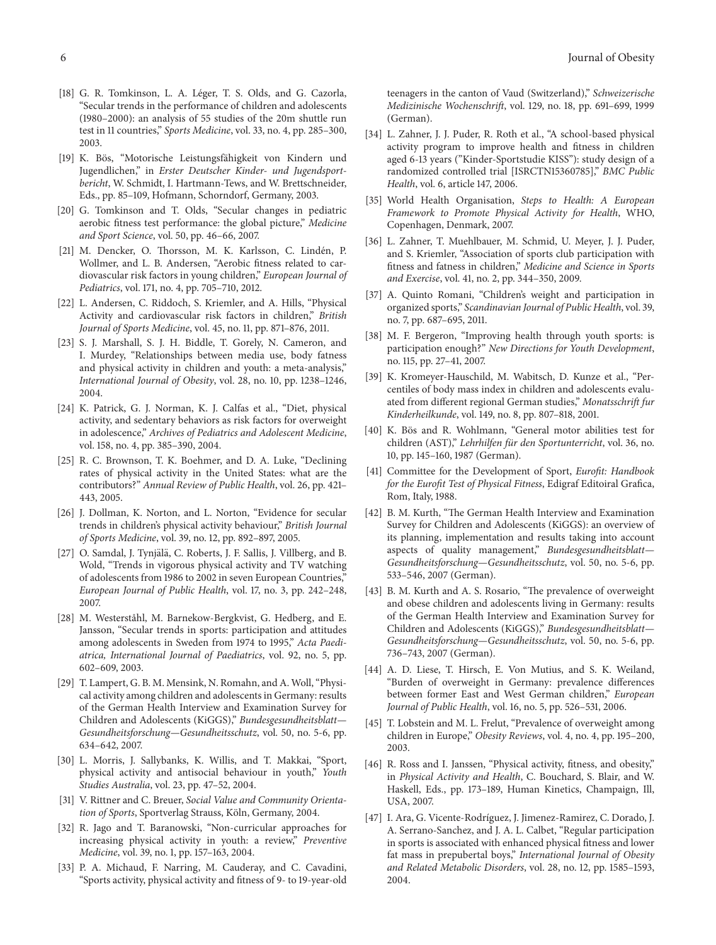- [18] G. R. Tomkinson, L. A. Léger, T. S. Olds, and G. Cazorla, "Secular trends in the performance of children and adolescents (1980–2000): an analysis of 55 studies of the 20m shuttle run test in 11 countries," *Sports Medicine*, vol. 33, no. 4, pp. 285–300, 2003.
- [19] K. Bös, "Motorische Leistungsfähigkeit von Kindern und Jugendlichen," in *Erster Deutscher Kinder- und Jugendsportbericht*, W. Schmidt, I. Hartmann-Tews, and W. Brettschneider, Eds., pp. 85–109, Hofmann, Schorndorf, Germany, 2003.
- [20] G. Tomkinson and T. Olds, "Secular changes in pediatric aerobic fitness test performance: the global picture," *Medicine and Sport Science*, vol. 50, pp. 46–66, 2007.
- [21] M. Dencker, O. Thorsson, M. K. Karlsson, C. Lindén, P. Wollmer, and L. B. Andersen, "Aerobic fitness related to cardiovascular risk factors in young children," *European Journal of Pediatrics*, vol. 171, no. 4, pp. 705–710, 2012.
- [22] L. Andersen, C. Riddoch, S. Kriemler, and A. Hills, "Physical Activity and cardiovascular risk factors in children," *British Journal of Sports Medicine*, vol. 45, no. 11, pp. 871–876, 2011.
- [23] S. J. Marshall, S. J. H. Biddle, T. Gorely, N. Cameron, and I. Murdey, "Relationships between media use, body fatness and physical activity in children and youth: a meta-analysis," *International Journal of Obesity*, vol. 28, no. 10, pp. 1238–1246, 2004.
- [24] K. Patrick, G. J. Norman, K. J. Calfas et al., "Diet, physical activity, and sedentary behaviors as risk factors for overweight in adolescence," *Archives of Pediatrics and Adolescent Medicine*, vol. 158, no. 4, pp. 385–390, 2004.
- [25] R. C. Brownson, T. K. Boehmer, and D. A. Luke, "Declining rates of physical activity in the United States: what are the contributors?" *Annual Review of Public Health*, vol. 26, pp. 421– 443, 2005.
- [26] J. Dollman, K. Norton, and L. Norton, "Evidence for secular trends in children's physical activity behaviour," *British Journal of Sports Medicine*, vol. 39, no. 12, pp. 892–897, 2005.
- [27] O. Samdal, J. Tynjälä, C. Roberts, J. F. Sallis, J. Villberg, and B. Wold, "Trends in vigorous physical activity and TV watching of adolescents from 1986 to 2002 in seven European Countries," *European Journal of Public Health*, vol. 17, no. 3, pp. 242–248, 2007.
- [28] M. Westerståhl, M. Barnekow-Bergkvist, G. Hedberg, and E. Jansson, "Secular trends in sports: participation and attitudes among adolescents in Sweden from 1974 to 1995," *Acta Paediatrica, International Journal of Paediatrics*, vol. 92, no. 5, pp. 602–609, 2003.
- [29] T. Lampert, G. B. M. Mensink, N. Romahn, and A. Woll, "Physical activity among children and adolescents in Germany: results of the German Health Interview and Examination Survey for Children and Adolescents (KiGGS)," *Bundesgesundheitsblatt— Gesundheitsforschung—Gesundheitsschutz*, vol. 50, no. 5-6, pp. 634–642, 2007.
- [30] L. Morris, J. Sallybanks, K. Willis, and T. Makkai, "Sport, physical activity and antisocial behaviour in youth," *Youth Studies Australia*, vol. 23, pp. 47–52, 2004.
- [31] V. Rittner and C. Breuer, *Social Value and Community Orienta*tion of Sports, Sportverlag Strauss, Köln, Germany, 2004.
- [32] R. Jago and T. Baranowski, "Non-curricular approaches for increasing physical activity in youth: a review," *Preventive Medicine*, vol. 39, no. 1, pp. 157–163, 2004.
- [33] P. A. Michaud, F. Narring, M. Cauderay, and C. Cavadini, "Sports activity, physical activity and fitness of 9- to 19-year-old

teenagers in the canton of Vaud (Switzerland)," *Schweizerische Medizinische Wochenschrift*, vol. 129, no. 18, pp. 691–699, 1999 (German).

- [34] L. Zahner, J. J. Puder, R. Roth et al., "A school-based physical activity program to improve health and fitness in children aged 6-13 years ("Kinder-Sportstudie KISS"): study design of a randomized controlled trial [ISRCTN15360785]," *BMC Public Health*, vol. 6, article 147, 2006.
- [35] World Health Organisation, *Steps to Health: A European Framework to Promote Physical Activity for Health*, WHO, Copenhagen, Denmark, 2007.
- [36] L. Zahner, T. Muehlbauer, M. Schmid, U. Meyer, J. J. Puder, and S. Kriemler, "Association of sports club participation with fitness and fatness in children," *Medicine and Science in Sports and Exercise*, vol. 41, no. 2, pp. 344–350, 2009.
- [37] A. Quinto Romani, "Children's weight and participation in organized sports," *Scandinavian Journal of Public Health*, vol. 39, no. 7, pp. 687–695, 2011.
- [38] M. F. Bergeron, "Improving health through youth sports: is participation enough?" *New Directions for Youth Development*, no. 115, pp. 27–41, 2007.
- [39] K. Kromeyer-Hauschild, M. Wabitsch, D. Kunze et al., "Percentiles of body mass index in children and adolescents evaluated from different regional German studies," *Monatsschrift fur Kinderheilkunde*, vol. 149, no. 8, pp. 807–818, 2001.
- [40] K. Bös and R. Wohlmann, "General motor abilities test for children (AST)," *Lehrhilfen fur den Sportunterricht ¨* , vol. 36, no. 10, pp. 145–160, 1987 (German).
- [41] Committee for the Development of Sport, *Eurofit: Handbook for the Eurofit Test of Physical Fitness*, Edigraf Editoiral Grafica, Rom, Italy, 1988.
- [42] B. M. Kurth, "The German Health Interview and Examination Survey for Children and Adolescents (KiGGS): an overview of its planning, implementation and results taking into account aspects of quality management," *Bundesgesundheitsblatt— Gesundheitsforschung—Gesundheitsschutz*, vol. 50, no. 5-6, pp. 533–546, 2007 (German).
- [43] B. M. Kurth and A. S. Rosario, "The prevalence of overweight and obese children and adolescents living in Germany: results of the German Health Interview and Examination Survey for Children and Adolescents (KiGGS)," *Bundesgesundheitsblatt— Gesundheitsforschung—Gesundheitsschutz*, vol. 50, no. 5-6, pp. 736–743, 2007 (German).
- [44] A. D. Liese, T. Hirsch, E. Von Mutius, and S. K. Weiland, "Burden of overweight in Germany: prevalence differences between former East and West German children," *European Journal of Public Health*, vol. 16, no. 5, pp. 526–531, 2006.
- [45] T. Lobstein and M. L. Frelut, "Prevalence of overweight among children in Europe," *Obesity Reviews*, vol. 4, no. 4, pp. 195–200, 2003.
- [46] R. Ross and I. Janssen, "Physical activity, fitness, and obesity," in *Physical Activity and Health*, C. Bouchard, S. Blair, and W. Haskell, Eds., pp. 173–189, Human Kinetics, Champaign, Ill, USA, 2007.
- [47] I. Ara, G. Vicente-Rodríguez, J. Jimenez-Ramirez, C. Dorado, J. A. Serrano-Sanchez, and J. A. L. Calbet, "Regular participation in sports is associated with enhanced physical fitness and lower fat mass in prepubertal boys," *International Journal of Obesity and Related Metabolic Disorders*, vol. 28, no. 12, pp. 1585–1593, 2004.